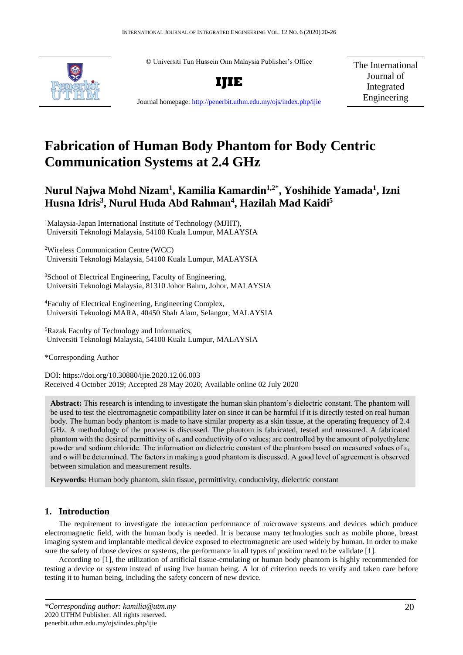© Universiti Tun Hussein Onn Malaysia Publisher's Office



**IJIE**

The International Journal of Integrated Engineering

Journal homepage:<http://penerbit.uthm.edu.my/ojs/index.php/ijie>

# **Fabrication of Human Body Phantom for Body Centric Communication Systems at 2.4 GHz**

# **Nurul Najwa Mohd Nizam<sup>1</sup> , Kamilia Kamardin1,2\* , Yoshihide Yamada<sup>1</sup> , Izni Husna Idris<sup>3</sup> , Nurul Huda Abd Rahman<sup>4</sup> , Hazilah Mad Kaidi<sup>5</sup>**

<sup>1</sup>Malaysia-Japan International Institute of Technology (MJIIT), Universiti Teknologi Malaysia, 54100 Kuala Lumpur, MALAYSIA

<sup>2</sup>Wireless Communication Centre (WCC) Universiti Teknologi Malaysia, 54100 Kuala Lumpur, MALAYSIA

<sup>3</sup>School of Electrical Engineering, Faculty of Engineering, Universiti Teknologi Malaysia, 81310 Johor Bahru, Johor, MALAYSIA

<sup>4</sup>Faculty of Electrical Engineering, Engineering Complex, Universiti Teknologi MARA, 40450 Shah Alam, Selangor, MALAYSIA

<sup>5</sup>Razak Faculty of Technology and Informatics, Universiti Teknologi Malaysia, 54100 Kuala Lumpur, MALAYSIA

\*Corresponding Author

DOI: https://doi.org/10.30880/ijie.2020.12.06.003 Received 4 October 2019; Accepted 28 May 2020; Available online 02 July 2020

**Abstract:** This research is intending to investigate the human skin phantom's dielectric constant. The phantom will be used to test the electromagnetic compatibility later on since it can be harmful if it is directly tested on real human body. The human body phantom is made to have similar property as a skin tissue, at the operating frequency of 2.4 GHz. A methodology of the process is discussed. The phantom is fabricated, tested and measured. A fabricated phantom with the desired permittivity of  $\varepsilon_r$  and conductivity of  $\sigma$  values; are controlled by the amount of polyethylene powder and sodium chloride. The information on dielectric constant of the phantom based on measured values of  $\varepsilon_r$ and σ will be determined. The factors in making a good phantom is discussed. A good level of agreement is observed between simulation and measurement results.

**Keywords:** Human body phantom, skin tissue, permittivity, conductivity, dielectric constant

# **1. Introduction**

The requirement to investigate the interaction performance of microwave systems and devices which produce electromagnetic field, with the human body is needed. It is because many technologies such as mobile phone, breast imaging system and implantable medical device exposed to electromagnetic are used widely by human. In order to make sure the safety of those devices or systems, the performance in all types of position need to be validate [1].

According to [1], the utilization of artificial tissue-emulating or human body phantom is highly recommended for testing a device or system instead of using live human being. A lot of criterion needs to verify and taken care before testing it to human being, including the safety concern of new device.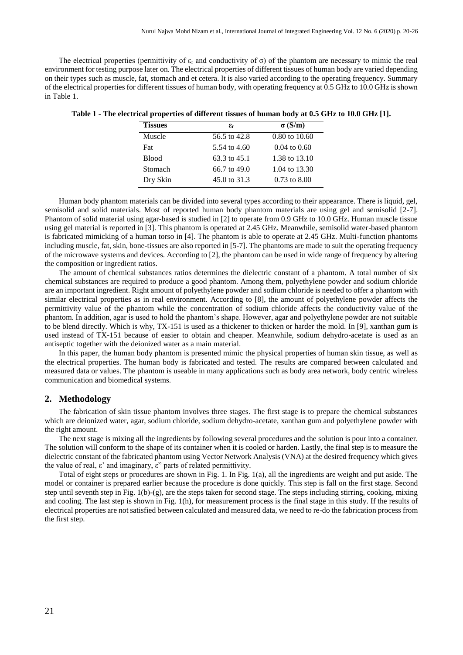The electrical properties (permittivity of  $\varepsilon_r$  and conductivity of  $\sigma$ ) of the phantom are necessary to mimic the real environment for testing purpose later on. The electrical properties of different tissues of human body are varied depending on their types such as muscle, fat, stomach and et cetera. It is also varied according to the operating frequency. Summary of the electrical properties for different tissues of human body, with operating frequency at 0.5 GHz to 10.0 GHz is shown in Table 1.

| <b>Tissues</b> | £r             | $\sigma(S/m)$            |
|----------------|----------------|--------------------------|
| Muscle         | 56.5 to 42.8   | $0.80 \text{ to } 10.60$ |
| <b>Fat</b>     | 5.54 to 4.60   | $0.04 \text{ to } 0.60$  |
| <b>Blood</b>   | 63.3 to 45.1   | 1.38 to 13.10            |
| Stomach        | $66.7$ to 49.0 | 1.04 to 13.30            |
| Dry Skin       | 45.0 to 31.3   | $0.73$ to $8.00$         |

| Table 1 - The electrical properties of different tissues of human body at 0.5 GHz to 10.0 GHz [1]. |  |
|----------------------------------------------------------------------------------------------------|--|
|----------------------------------------------------------------------------------------------------|--|

Human body phantom materials can be divided into several types according to their appearance. There is liquid, gel, semisolid and solid materials. Most of reported human body phantom materials are using gel and semisolid [2-7]. Phantom of solid material using agar-based is studied in [2] to operate from 0.9 GHz to 10.0 GHz. Human muscle tissue using gel material is reported in [3]. This phantom is operated at 2.45 GHz. Meanwhile, semisolid water-based phantom is fabricated mimicking of a human torso in [4]. The phantom is able to operate at 2.45 GHz. Multi-function phantoms including muscle, fat, skin, bone-tissues are also reported in [5-7]. The phantoms are made to suit the operating frequency of the microwave systems and devices. According to [2], the phantom can be used in wide range of frequency by altering the composition or ingredient ratios.

The amount of chemical substances ratios determines the dielectric constant of a phantom. A total number of six chemical substances are required to produce a good phantom. Among them, polyethylene powder and sodium chloride are an important ingredient. Right amount of polyethylene powder and sodium chloride is needed to offer a phantom with similar electrical properties as in real environment. According to [8], the amount of polyethylene powder affects the permittivity value of the phantom while the concentration of sodium chloride affects the conductivity value of the phantom. In addition, agar is used to hold the phantom's shape. However, agar and polyethylene powder are not suitable to be blend directly. Which is why, TX-151 is used as a thickener to thicken or harder the mold. In [9], xanthan gum is used instead of TX-151 because of easier to obtain and cheaper. Meanwhile, sodium dehydro-acetate is used as an antiseptic together with the deionized water as a main material.

In this paper, the human body phantom is presented mimic the physical properties of human skin tissue, as well as the electrical properties. The human body is fabricated and tested. The results are compared between calculated and measured data or values. The phantom is useable in many applications such as body area network, body centric wireless communication and biomedical systems.

#### **2. Methodology**

The fabrication of skin tissue phantom involves three stages. The first stage is to prepare the chemical substances which are deionized water, agar, sodium chloride, sodium dehydro-acetate, xanthan gum and polyethylene powder with the right amount.

The next stage is mixing all the ingredients by following several procedures and the solution is pour into a container. The solution will conform to the shape of its container when it is cooled or harden. Lastly, the final step is to measure the dielectric constant of the fabricated phantom using Vector Network Analysis (VNA) at the desired frequency which gives the value of real,  $\varepsilon'$  and imaginary,  $\varepsilon''$  parts of related permittivity.

Total of eight steps or procedures are shown in Fig. 1. In Fig. 1(a), all the ingredients are weight and put aside. The model or container is prepared earlier because the procedure is done quickly. This step is fall on the first stage. Second step until seventh step in Fig. 1(b)-(g), are the steps taken for second stage. The steps including stirring, cooking, mixing and cooling. The last step is shown in Fig. 1(h), for measurement process is the final stage in this study. If the results of electrical properties are not satisfied between calculated and measured data, we need to re-do the fabrication process from the first step.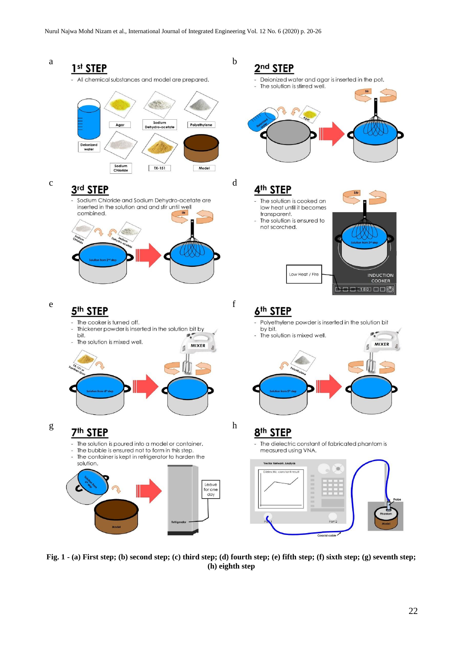

**Fig. 1 - (a) First step; (b) second step; (c) third step; (d) fourth step; (e) fifth step; (f) sixth step; (g) seventh step; (h) eighth step**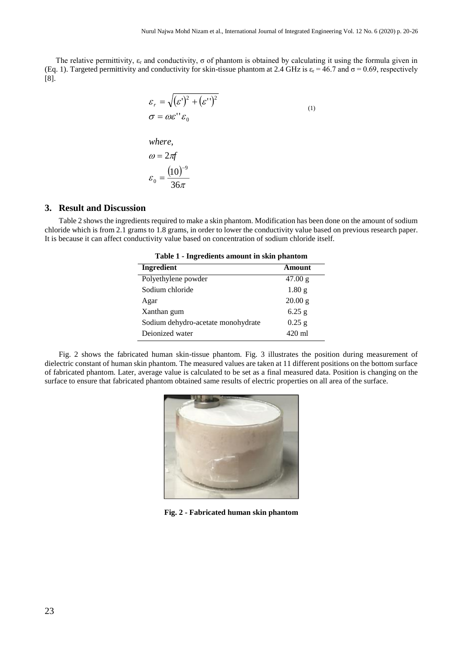The relative permittivity,  $\varepsilon_r$  and conductivity,  $\sigma$  of phantom is obtained by calculating it using the formula given in (Eq. 1). Targeted permittivity and conductivity for skin-tissue phantom at 2.4 GHz is  $\varepsilon_r = 46.7$  and  $\sigma = 0.69$ , respectively [8].

$$
\varepsilon_r = \sqrt{(\varepsilon')^2 + (\varepsilon'')^2}
$$
\n
$$
\sigma = \omega \varepsilon'' \varepsilon_0
$$
\n
$$
\omega = 2\pi f
$$
\n
$$
\varepsilon_0 = \frac{(10)^{-9}}{36\pi}
$$
\n(1)

# **3. Result and Discussion**

Table 2 shows the ingredients required to make a skin phantom. Modification has been done on the amount of sodium chloride which is from 2.1 grams to 1.8 grams, in order to lower the conductivity value based on previous research paper. It is because it can affect conductivity value based on concentration of sodium chloride itself.

| Table 1 - Ingredients amount in skill phantom |                   |  |
|-----------------------------------------------|-------------------|--|
| Ingredient                                    | Amount            |  |
| Polyethylene powder                           | 47.00 g           |  |
| Sodium chloride                               | 1.80 <sub>g</sub> |  |
| Agar                                          | 20.00 g           |  |
| Xanthan gum                                   | $6.25$ g          |  |
| Sodium dehydro-acetate monohydrate            | $0.25$ g          |  |
| Dejonized water                               | $420 \text{ ml}$  |  |
|                                               |                   |  |

**Table 1 - Ingredients amount in skin phantom**

Fig. 2 shows the fabricated human skin-tissue phantom. Fig. 3 illustrates the position during measurement of dielectric constant of human skin phantom. The measured values are taken at 11 different positions on the bottom surface of fabricated phantom. Later, average value is calculated to be set as a final measured data. Position is changing on the surface to ensure that fabricated phantom obtained same results of electric properties on all area of the surface.



**Fig. 2 - Fabricated human skin phantom**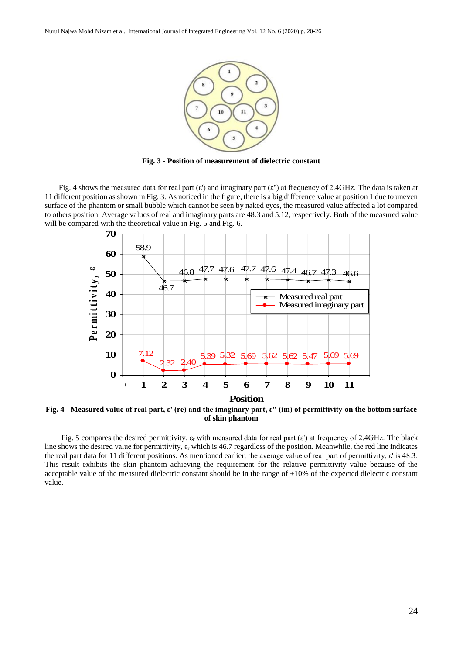

**Fig. 3 - Position of measurement of dielectric constant**

Fig. 4 shows the measured data for real part ( $\varepsilon'$ ) and imaginary part ( $\varepsilon''$ ) at frequency of 2.4GHz. The data is taken at 11 different position as shown in Fig. 3. As noticed in the figure, there is a big difference value at position 1 due to uneven surface of the phantom or small bubble which cannot be seen by naked eyes, the measured value affected a lot compared to others position. Average values of real and imaginary parts are 48.3 and 5.12, respectively. Both of the measured value will be compared with the theoretical value in Fig. 5 and Fig. 6.



**Fig. 4 - Measured value of real part, ε' (re) and the imaginary part, ε" (im) of permittivity on the bottom surface of skin phantom**

Fig. 5 compares the desired permittivity,  $\varepsilon_r$  with measured data for real part ( $\varepsilon$ ) at frequency of 2.4GHz. The black line shows the desired value for permittivity,  $\varepsilon_r$  which is 46.7 regardless of the position. Meanwhile, the red line indicates the real part data for 11 different positions. As mentioned earlier, the average value of real part of permittivity, ε' is 48.3. This result exhibits the skin phantom achieving the requirement for the relative permittivity value because of the acceptable value of the measured dielectric constant should be in the range of  $\pm 10\%$  of the expected dielectric constant value.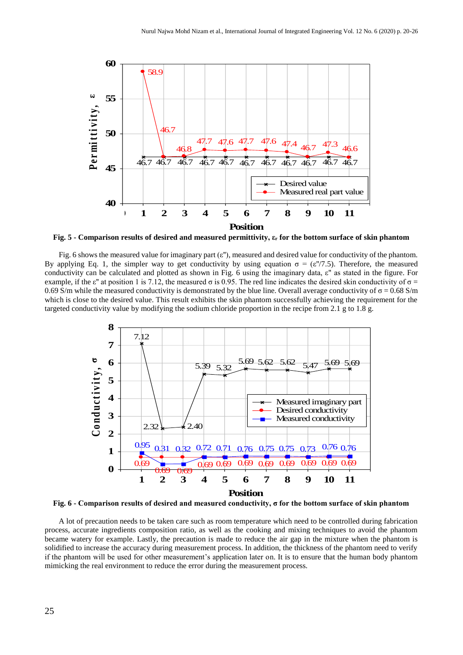

**Fig. 5 - Comparison results of desired and measured permittivity, ε<sup>r</sup> for the bottom surface of skin phantom**

Fig. 6 shows the measured value for imaginary part ( $\varepsilon$ "), measured and desired value for conductivity of the phantom. By applying Eq. 1, the simpler way to get conductivity by using equation  $\sigma = (\varepsilon''/7.5)$ . Therefore, the measured conductivity can be calculated and plotted as shown in Fig. 6 using the imaginary data,  $\varepsilon$ " as stated in the figure. For example, if the  $\varepsilon$ " at position 1 is 7.12, the measured  $\sigma$  is 0.95. The red line indicates the desired skin conductivity of  $\sigma$  = 0.69 S/m while the measured conductivity is demonstrated by the blue line. Overall average conductivity of  $\sigma = 0.68$  S/m which is close to the desired value. This result exhibits the skin phantom successfully achieving the requirement for the targeted conductivity value by modifying the sodium chloride proportion in the recipe from 2.1 g to 1.8 g.



**Fig. 6 - Comparison results of desired and measured conductivity, σ for the bottom surface of skin phantom**

A lot of precaution needs to be taken care such as room temperature which need to be controlled during fabrication process, accurate ingredients composition ratio, as well as the cooking and mixing techniques to avoid the phantom became watery for example. Lastly, the precaution is made to reduce the air gap in the mixture when the phantom is solidified to increase the accuracy during measurement process. In addition, the thickness of the phantom need to verify if the phantom will be used for other measurement's application later on. It is to ensure that the human body phantom mimicking the real environment to reduce the error during the measurement process.